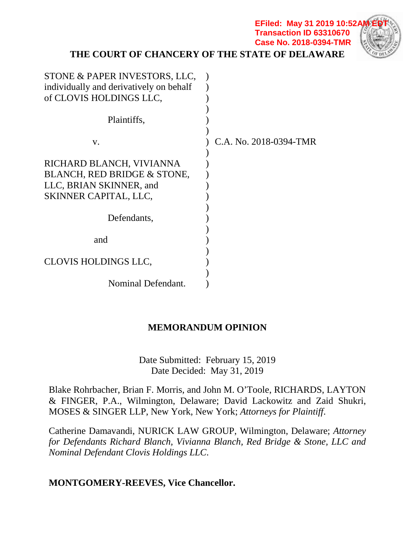**THE COURT OF CHANCERY OF THE STATE OF DELAWARE**

**EFiled: May 31 2019 10:52/ Transaction ID 63310670 Case No. 2018-0394-TMR**

| STONE & PAPER INVESTORS, LLC,           |                        |
|-----------------------------------------|------------------------|
| individually and derivatively on behalf |                        |
| of CLOVIS HOLDINGS LLC,                 |                        |
|                                         |                        |
| Plaintiffs,                             |                        |
|                                         |                        |
| V.                                      | C.A. No. 2018-0394-TMR |
|                                         |                        |
| RICHARD BLANCH, VIVIANNA                |                        |
| BLANCH, RED BRIDGE & STONE,             |                        |
| LLC, BRIAN SKINNER, and                 |                        |
| SKINNER CAPITAL, LLC,                   |                        |
|                                         |                        |
| Defendants,                             |                        |
|                                         |                        |
| and                                     |                        |
|                                         |                        |
| <b>CLOVIS HOLDINGS LLC,</b>             |                        |
|                                         |                        |
| Nominal Defendant.                      |                        |

## **MEMORANDUM OPINION**

Date Submitted: February 15, 2019 Date Decided: May 31, 2019

Blake Rohrbacher, Brian F. Morris, and John M. O'Toole, RICHARDS, LAYTON & FINGER, P.A., Wilmington, Delaware; David Lackowitz and Zaid Shukri, MOSES & SINGER LLP, New York, New York; *Attorneys for Plaintiff*.

Catherine Damavandi, NURICK LAW GROUP, Wilmington, Delaware; *Attorney for Defendants Richard Blanch, Vivianna Blanch, Red Bridge & Stone, LLC and Nominal Defendant Clovis Holdings LLC*.

## **MONTGOMERY-REEVES, Vice Chancellor.**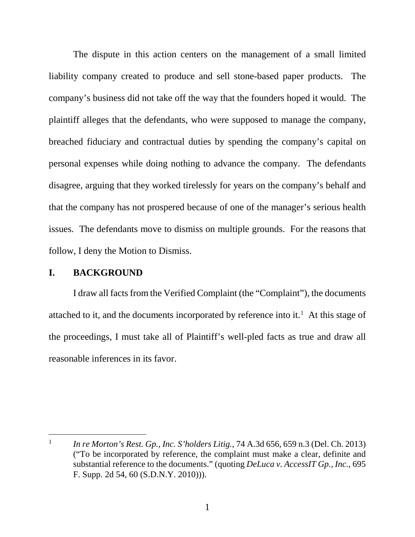The dispute in this action centers on the management of a small limited liability company created to produce and sell stone-based paper products. The company's business did not take off the way that the founders hoped it would. The plaintiff alleges that the defendants, who were supposed to manage the company, breached fiduciary and contractual duties by spending the company's capital on personal expenses while doing nothing to advance the company. The defendants disagree, arguing that they worked tirelessly for years on the company's behalf and that the company has not prospered because of one of the manager's serious health issues. The defendants move to dismiss on multiple grounds. For the reasons that follow, I deny the Motion to Dismiss.

### **I. BACKGROUND**

 $\overline{a}$ 

I draw all facts from the Verified Complaint (the "Complaint"), the documents attached to it, and the documents incorporated by reference into it.<sup>1</sup> At this stage of the proceedings, I must take all of Plaintiff's well-pled facts as true and draw all reasonable inferences in its favor.

<sup>1</sup> *In re Morton's Rest. Gp., Inc. S'holders Litig.*, 74 A.3d 656, 659 n.3 (Del. Ch. 2013) ("To be incorporated by reference, the complaint must make a clear, definite and substantial reference to the documents." (quoting *DeLuca v. AccessIT Gp., Inc.*, 695 F. Supp. 2d 54, 60 (S.D.N.Y. 2010))).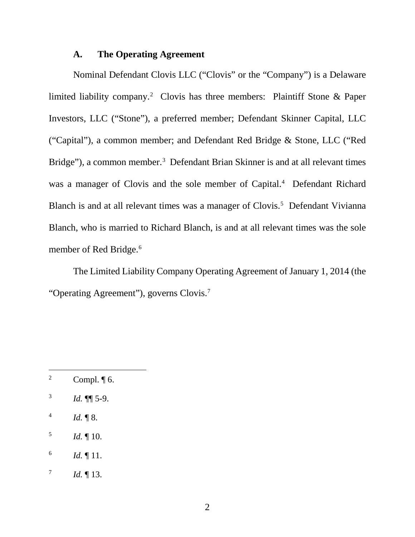#### **A. The Operating Agreement**

Nominal Defendant Clovis LLC ("Clovis" or the "Company") is a Delaware limited liability company.<sup>2</sup> Clovis has three members: Plaintiff Stone & Paper Investors, LLC ("Stone"), a preferred member; Defendant Skinner Capital, LLC ("Capital"), a common member; and Defendant Red Bridge & Stone, LLC ("Red Bridge"), a common member.<sup>3</sup> Defendant Brian Skinner is and at all relevant times was a manager of Clovis and the sole member of Capital.<sup>4</sup> Defendant Richard Blanch is and at all relevant times was a manager of Clovis.<sup>5</sup> Defendant Vivianna Blanch, who is married to Richard Blanch, is and at all relevant times was the sole member of Red Bridge.<sup>6</sup>

The Limited Liability Company Operating Agreement of January 1, 2014 (the "Operating Agreement"), governs Clovis.7

- 2 Compl.  $\P$  6.
- 3 *Id.* ¶¶ 5-9.
- 4 *Id.* ¶ 8.

- 5 *Id.* ¶ 10.
- 6 *Id.* ¶ 11.
- 7 *Id.* ¶ 13.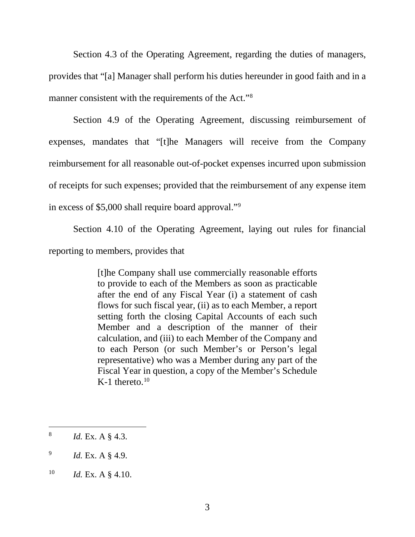Section 4.3 of the Operating Agreement, regarding the duties of managers, provides that "[a] Manager shall perform his duties hereunder in good faith and in a manner consistent with the requirements of the Act."<sup>8</sup>

Section 4.9 of the Operating Agreement, discussing reimbursement of expenses, mandates that "[t]he Managers will receive from the Company reimbursement for all reasonable out-of-pocket expenses incurred upon submission of receipts for such expenses; provided that the reimbursement of any expense item in excess of \$5,000 shall require board approval."9

Section 4.10 of the Operating Agreement, laying out rules for financial

reporting to members, provides that

[t]he Company shall use commercially reasonable efforts to provide to each of the Members as soon as practicable after the end of any Fiscal Year (i) a statement of cash flows for such fiscal year, (ii) as to each Member, a report setting forth the closing Capital Accounts of each such Member and a description of the manner of their calculation, and (iii) to each Member of the Company and to each Person (or such Member's or Person's legal representative) who was a Member during any part of the Fiscal Year in question, a copy of the Member's Schedule K-1 thereto. $10$ 

<sup>8</sup> *Id.* Ex. A § 4.3.

<sup>9</sup> *Id.* Ex. A § 4.9.

<sup>10</sup> *Id.* Ex. A § 4.10.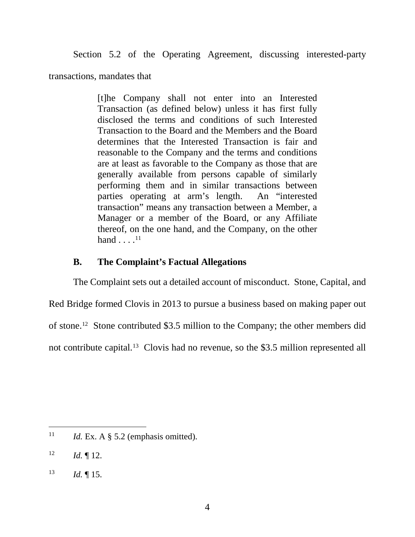Section 5.2 of the Operating Agreement, discussing interested-party

transactions, mandates that

[t]he Company shall not enter into an Interested Transaction (as defined below) unless it has first fully disclosed the terms and conditions of such Interested Transaction to the Board and the Members and the Board determines that the Interested Transaction is fair and reasonable to the Company and the terms and conditions are at least as favorable to the Company as those that are generally available from persons capable of similarly performing them and in similar transactions between parties operating at arm's length. An "interested transaction" means any transaction between a Member, a Manager or a member of the Board, or any Affiliate thereof, on the one hand, and the Company, on the other hand  $\dots$ .<sup>11</sup>

## **B. The Complaint's Factual Allegations**

The Complaint sets out a detailed account of misconduct. Stone, Capital, and Red Bridge formed Clovis in 2013 to pursue a business based on making paper out of stone.12 Stone contributed \$3.5 million to the Company; the other members did not contribute capital.<sup>13</sup> Clovis had no revenue, so the \$3.5 million represented all

<sup>&</sup>lt;sup>11</sup> *Id.* Ex. A  $\S$  5.2 (emphasis omitted).

 $12$  *Id.* 12.

 $13$  *Id.* 15.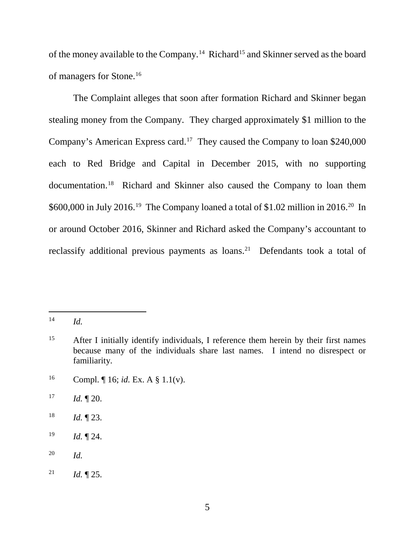of the money available to the Company.14 Richard15 and Skinner served as the board of managers for Stone.16

The Complaint alleges that soon after formation Richard and Skinner began stealing money from the Company. They charged approximately \$1 million to the Company's American Express card.17 They caused the Company to loan \$240,000 each to Red Bridge and Capital in December 2015, with no supporting documentation. 18 Richard and Skinner also caused the Company to loan them \$600,000 in July 2016.<sup>19</sup> The Company loaned a total of \$1.02 million in 2016.<sup>20</sup> In or around October 2016, Skinner and Richard asked the Company's accountant to reclassify additional previous payments as loans.<sup>21</sup> Defendants took a total of

- 18 *Id.* ¶ 23.
- 19 *Id.* ¶ 24.

<sup>14</sup> *Id.*

<sup>&</sup>lt;sup>15</sup> After I initially identify individuals, I reference them herein by their first names because many of the individuals share last names. I intend no disrespect or familiarity.

<sup>16</sup> Compl. ¶ 16; *id.* Ex. A § 1.1(v).

 $17$  *Id.*  $\sqrt{20}$ .

<sup>20</sup> *Id.*

<sup>&</sup>lt;sup>21</sup> *Id.*  $\sqrt{25}$ .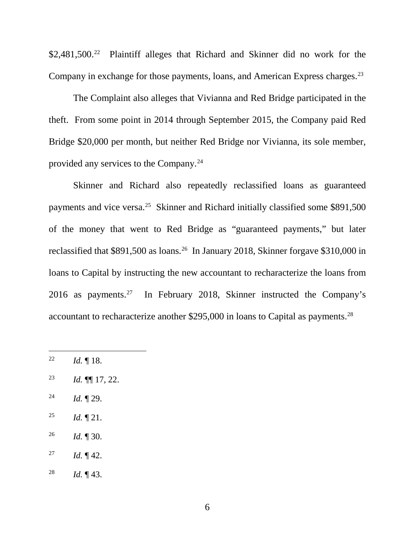\$2,481,500.<sup>22</sup> Plaintiff alleges that Richard and Skinner did no work for the Company in exchange for those payments, loans, and American Express charges.<sup>23</sup>

The Complaint also alleges that Vivianna and Red Bridge participated in the theft. From some point in 2014 through September 2015, the Company paid Red Bridge \$20,000 per month, but neither Red Bridge nor Vivianna, its sole member, provided any services to the Company.24

Skinner and Richard also repeatedly reclassified loans as guaranteed payments and vice versa.25 Skinner and Richard initially classified some \$891,500 of the money that went to Red Bridge as "guaranteed payments," but later reclassified that \$891,500 as loans.<sup>26</sup> In January 2018, Skinner forgave \$310,000 in loans to Capital by instructing the new accountant to recharacterize the loans from 2016 as payments.27 In February 2018, Skinner instructed the Company's accountant to recharacterize another \$295,000 in loans to Capital as payments.28

22 *Id.* ¶ 18.

- 23 *Id.* ¶¶ 17, 22.
- 24 *Id.* ¶ 29.
- <sup>25</sup> *Id.*  $\P$  21.
- 26 *Id.* ¶ 30.
- <sup>27</sup> *Id.*  $\P$  42.
- 28 *Id.* ¶ 43.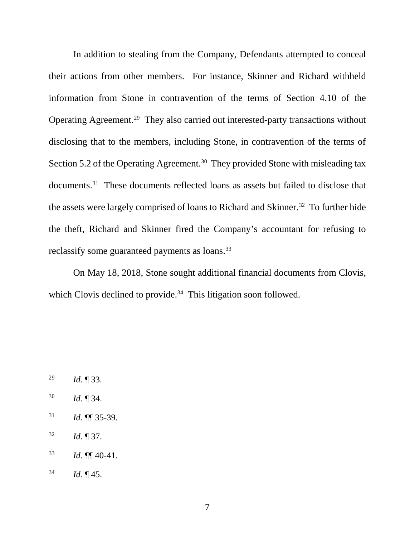In addition to stealing from the Company, Defendants attempted to conceal their actions from other members. For instance, Skinner and Richard withheld information from Stone in contravention of the terms of Section 4.10 of the Operating Agreement. 29 They also carried out interested-party transactions without disclosing that to the members, including Stone, in contravention of the terms of Section 5.2 of the Operating Agreement.<sup>30</sup> They provided Stone with misleading tax documents.31 These documents reflected loans as assets but failed to disclose that the assets were largely comprised of loans to Richard and Skinner.<sup>32</sup> To further hide the theft, Richard and Skinner fired the Company's accountant for refusing to reclassify some guaranteed payments as loans.<sup>33</sup>

On May 18, 2018, Stone sought additional financial documents from Clovis, which Clovis declined to provide.<sup>34</sup> This litigation soon followed.

- 30 *Id.* ¶ 34.
- 31 *Id.* ¶¶ 35-39.
- 32 *Id.* ¶ 37.
- $^{33}$  *Id.*  $\P\P$  40-41.
- $^{34}$  *Id.*  $\P$  45.

<sup>29</sup> *Id.* ¶ 33.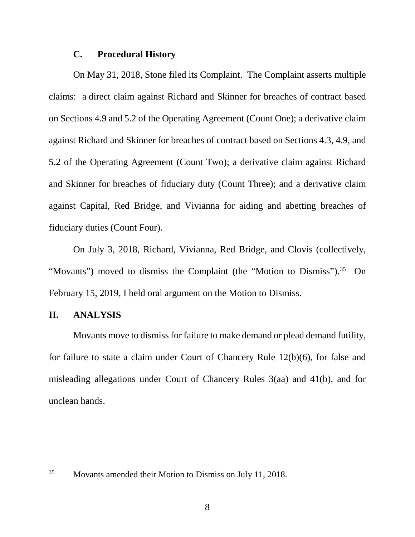#### **C. Procedural History**

On May 31, 2018, Stone filed its Complaint. The Complaint asserts multiple claims: a direct claim against Richard and Skinner for breaches of contract based on Sections 4.9 and 5.2 of the Operating Agreement (Count One); a derivative claim against Richard and Skinner for breaches of contract based on Sections 4.3, 4.9, and 5.2 of the Operating Agreement (Count Two); a derivative claim against Richard and Skinner for breaches of fiduciary duty (Count Three); and a derivative claim against Capital, Red Bridge, and Vivianna for aiding and abetting breaches of fiduciary duties (Count Four).

On July 3, 2018, Richard, Vivianna, Red Bridge, and Clovis (collectively, "Movants") moved to dismiss the Complaint (the "Motion to Dismiss").<sup>35</sup> On February 15, 2019, I held oral argument on the Motion to Dismiss.

#### **II. ANALYSIS**

 $\overline{a}$ 

Movants move to dismiss for failure to make demand or plead demand futility, for failure to state a claim under Court of Chancery Rule 12(b)(6), for false and misleading allegations under Court of Chancery Rules 3(aa) and 41(b), and for unclean hands.

<sup>35</sup> Movants amended their Motion to Dismiss on July 11, 2018.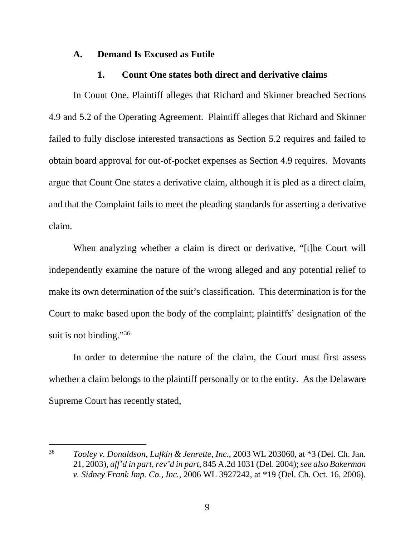#### **A. Demand Is Excused as Futile**

#### **1. Count One states both direct and derivative claims**

In Count One, Plaintiff alleges that Richard and Skinner breached Sections 4.9 and 5.2 of the Operating Agreement. Plaintiff alleges that Richard and Skinner failed to fully disclose interested transactions as Section 5.2 requires and failed to obtain board approval for out-of-pocket expenses as Section 4.9 requires. Movants argue that Count One states a derivative claim, although it is pled as a direct claim, and that the Complaint fails to meet the pleading standards for asserting a derivative claim.

When analyzing whether a claim is direct or derivative, "[t]he Court will independently examine the nature of the wrong alleged and any potential relief to make its own determination of the suit's classification. This determination is for the Court to make based upon the body of the complaint; plaintiffs' designation of the suit is not binding."<sup>36</sup>

In order to determine the nature of the claim, the Court must first assess whether a claim belongs to the plaintiff personally or to the entity. As the Delaware Supreme Court has recently stated,

<sup>36</sup> *Tooley v. Donaldson, Lufkin & Jenrette, Inc.*, 2003 WL 203060, at \*3 (Del. Ch. Jan. 21, 2003), *aff'd in part, rev'd in part*, 845 A.2d 1031 (Del. 2004); *see also Bakerman v. Sidney Frank Imp. Co., Inc.*, 2006 WL 3927242, at \*19 (Del. Ch. Oct. 16, 2006).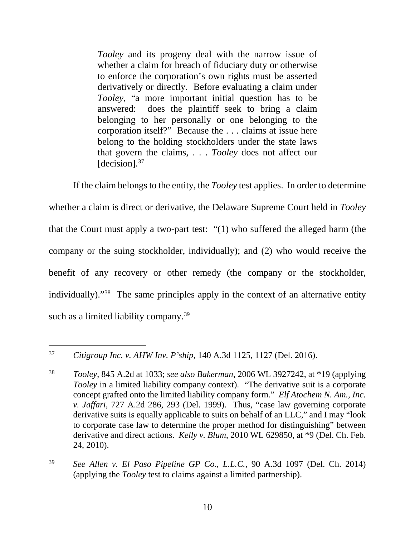*Tooley* and its progeny deal with the narrow issue of whether a claim for breach of fiduciary duty or otherwise to enforce the corporation's own rights must be asserted derivatively or directly. Before evaluating a claim under *Tooley*, "a more important initial question has to be answered: does the plaintiff seek to bring a claim belonging to her personally or one belonging to the corporation itself?" Because the . . . claims at issue here belong to the holding stockholders under the state laws that govern the claims, . . . *Tooley* does not affect our [decision].<sup>37</sup>

If the claim belongs to the entity, the *Tooley* test applies. In order to determine whether a claim is direct or derivative, the Delaware Supreme Court held in *Tooley*  that the Court must apply a two-part test: "(1) who suffered the alleged harm (the company or the suing stockholder, individually); and (2) who would receive the benefit of any recovery or other remedy (the company or the stockholder, individually)."38 The same principles apply in the context of an alternative entity such as a limited liability company.<sup>39</sup>

 $\overline{a}$ 

39 *See Allen v. El Paso Pipeline GP Co., L.L.C.*, 90 A.3d 1097 (Del. Ch. 2014) (applying the *Tooley* test to claims against a limited partnership).

<sup>37</sup> *Citigroup Inc. v. AHW Inv. P'ship*, 140 A.3d 1125, 1127 (Del. 2016).

<sup>38</sup> *Tooley*, 845 A.2d at 1033; *see also Bakerman*, 2006 WL 3927242, at \*19 (applying *Tooley* in a limited liability company context). "The derivative suit is a corporate concept grafted onto the limited liability company form." *Elf Atochem N. Am., Inc. v. Jaffari*, 727 A.2d 286, 293 (Del. 1999). Thus, "case law governing corporate derivative suits is equally applicable to suits on behalf of an LLC," and I may "look to corporate case law to determine the proper method for distinguishing" between derivative and direct actions. *Kelly v. Blum*, 2010 WL 629850, at \*9 (Del. Ch. Feb. 24, 2010).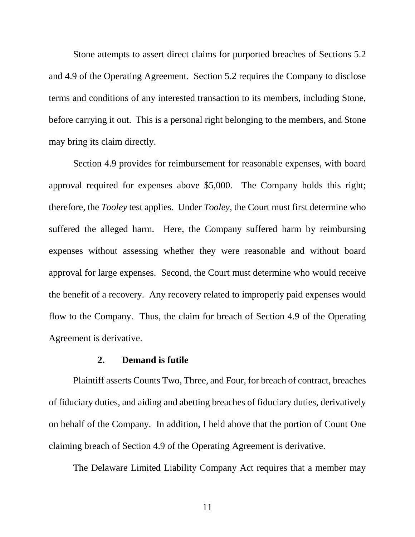Stone attempts to assert direct claims for purported breaches of Sections 5.2 and 4.9 of the Operating Agreement. Section 5.2 requires the Company to disclose terms and conditions of any interested transaction to its members, including Stone, before carrying it out. This is a personal right belonging to the members, and Stone may bring its claim directly.

Section 4.9 provides for reimbursement for reasonable expenses, with board approval required for expenses above \$5,000. The Company holds this right; therefore, the *Tooley* test applies. Under *Tooley*, the Court must first determine who suffered the alleged harm. Here, the Company suffered harm by reimbursing expenses without assessing whether they were reasonable and without board approval for large expenses. Second, the Court must determine who would receive the benefit of a recovery. Any recovery related to improperly paid expenses would flow to the Company. Thus, the claim for breach of Section 4.9 of the Operating Agreement is derivative.

#### **2. Demand is futile**

Plaintiff asserts Counts Two, Three, and Four, for breach of contract, breaches of fiduciary duties, and aiding and abetting breaches of fiduciary duties, derivatively on behalf of the Company. In addition, I held above that the portion of Count One claiming breach of Section 4.9 of the Operating Agreement is derivative.

The Delaware Limited Liability Company Act requires that a member may

11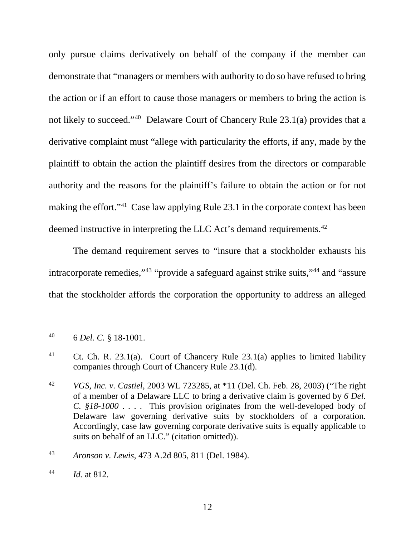only pursue claims derivatively on behalf of the company if the member can demonstrate that "managers or members with authority to do so have refused to bring the action or if an effort to cause those managers or members to bring the action is not likely to succeed."40 Delaware Court of Chancery Rule 23.1(a) provides that a derivative complaint must "allege with particularity the efforts, if any, made by the plaintiff to obtain the action the plaintiff desires from the directors or comparable authority and the reasons for the plaintiff's failure to obtain the action or for not making the effort."41 Case law applying Rule 23.1 in the corporate context has been deemed instructive in interpreting the LLC Act's demand requirements.<sup>42</sup>

The demand requirement serves to "insure that a stockholder exhausts his intracorporate remedies,"<sup>43</sup> "provide a safeguard against strike suits,"<sup>44</sup> and "assure that the stockholder affords the corporation the opportunity to address an alleged

<sup>40 6</sup> *Del. C.* § 18-1001.

<sup>41</sup> Ct. Ch. R. 23.1(a). Court of Chancery Rule 23.1(a) applies to limited liability companies through Court of Chancery Rule 23.1(d).

<sup>42</sup> *VGS, Inc. v. Castiel*, 2003 WL 723285, at \*11 (Del. Ch. Feb. 28, 2003) ("The right of a member of a Delaware LLC to bring a derivative claim is governed by *6 Del. C. §18-1000* . . . . This provision originates from the well-developed body of Delaware law governing derivative suits by stockholders of a corporation. Accordingly, case law governing corporate derivative suits is equally applicable to suits on behalf of an LLC." (citation omitted)).

<sup>43</sup> *Aronson v. Lewis*, 473 A.2d 805, 811 (Del. 1984).

<sup>44</sup> *Id.* at 812.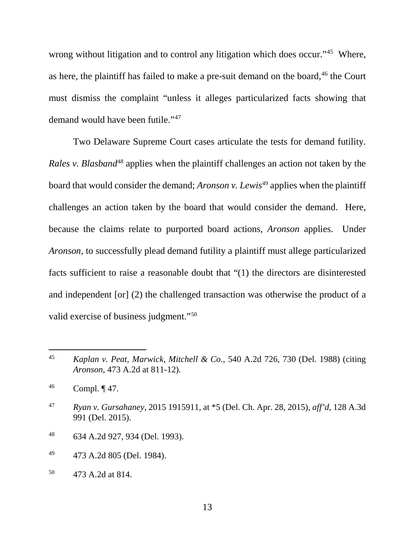wrong without litigation and to control any litigation which does occur."<sup>45</sup> Where, as here, the plaintiff has failed to make a pre-suit demand on the board,  $46$  the Court must dismiss the complaint "unless it alleges particularized facts showing that demand would have been futile."47

Two Delaware Supreme Court cases articulate the tests for demand futility. *Rales v. Blasband*<sup>48</sup> applies when the plaintiff challenges an action not taken by the board that would consider the demand; *Aronson v. Lewis*<sup>49</sup> applies when the plaintiff challenges an action taken by the board that would consider the demand. Here, because the claims relate to purported board actions, *Aronson* applies. Under *Aronson*, to successfully plead demand futility a plaintiff must allege particularized facts sufficient to raise a reasonable doubt that "(1) the directors are disinterested and independent [or] (2) the challenged transaction was otherwise the product of a valid exercise of business judgment."50

- 48 634 A.2d 927, 934 (Del. 1993).
- 49 473 A.2d 805 (Del. 1984).
- 50 473 A.2d at 814.

<sup>45</sup> *Kaplan v. Peat, Marwick, Mitchell & Co.*, 540 A.2d 726, 730 (Del. 1988) (citing *Aronson*, 473 A.2d at 811-12).

 $^{46}$  Compl.  $\P$  47.

<sup>47</sup> *Ryan v. Gursahaney*, 2015 1915911, at \*5 (Del. Ch. Apr. 28, 2015), *aff'd*, 128 A.3d 991 (Del. 2015).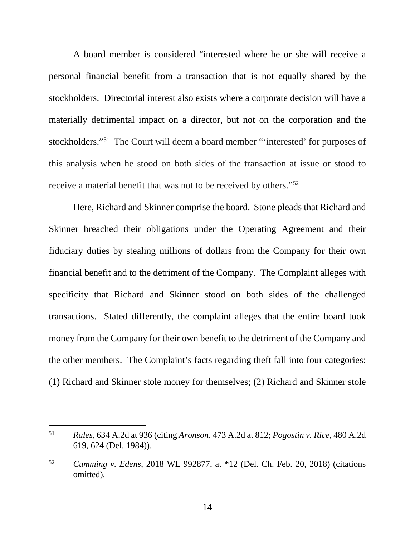A board member is considered "interested where he or she will receive a personal financial benefit from a transaction that is not equally shared by the stockholders. Directorial interest also exists where a corporate decision will have a materially detrimental impact on a director, but not on the corporation and the stockholders."51 The Court will deem a board member "'interested' for purposes of this analysis when he stood on both sides of the transaction at issue or stood to receive a material benefit that was not to be received by others."52

Here, Richard and Skinner comprise the board. Stone pleads that Richard and Skinner breached their obligations under the Operating Agreement and their fiduciary duties by stealing millions of dollars from the Company for their own financial benefit and to the detriment of the Company. The Complaint alleges with specificity that Richard and Skinner stood on both sides of the challenged transactions. Stated differently, the complaint alleges that the entire board took money from the Company for their own benefit to the detriment of the Company and the other members. The Complaint's facts regarding theft fall into four categories: (1) Richard and Skinner stole money for themselves; (2) Richard and Skinner stole

<sup>51</sup> *Rales*, 634 A.2d at 936 (citing *Aronson*, 473 A.2d at 812; *Pogostin v. Rice*, 480 A.2d 619, 624 (Del. 1984)).

<sup>52</sup> *Cumming v. Edens*, 2018 WL 992877, at \*12 (Del. Ch. Feb. 20, 2018) (citations omitted).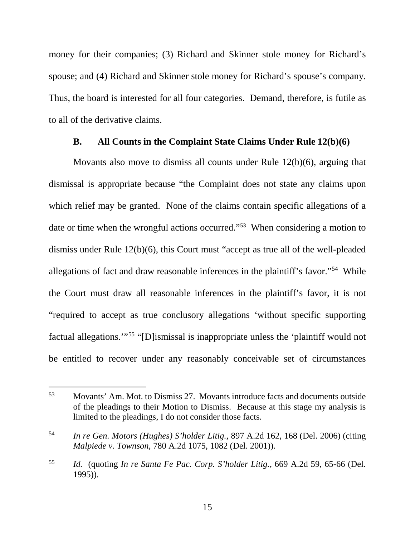money for their companies; (3) Richard and Skinner stole money for Richard's spouse; and (4) Richard and Skinner stole money for Richard's spouse's company. Thus, the board is interested for all four categories. Demand, therefore, is futile as to all of the derivative claims.

#### **B. All Counts in the Complaint State Claims Under Rule 12(b)(6)**

Movants also move to dismiss all counts under Rule 12(b)(6), arguing that dismissal is appropriate because "the Complaint does not state any claims upon which relief may be granted. None of the claims contain specific allegations of a date or time when the wrongful actions occurred."53 When considering a motion to dismiss under Rule 12(b)(6), this Court must "accept as true all of the well-pleaded allegations of fact and draw reasonable inferences in the plaintiff's favor."54 While the Court must draw all reasonable inferences in the plaintiff's favor, it is not "required to accept as true conclusory allegations 'without specific supporting factual allegations.'"55 "[D]ismissal is inappropriate unless the 'plaintiff would not be entitled to recover under any reasonably conceivable set of circumstances

<sup>53</sup> Movants' Am. Mot. to Dismiss 27. Movants introduce facts and documents outside of the pleadings to their Motion to Dismiss. Because at this stage my analysis is limited to the pleadings, I do not consider those facts.

<sup>54</sup> *In re Gen. Motors (Hughes) S'holder Litig.*, 897 A.2d 162, 168 (Del. 2006) (citing *Malpiede v. Townson*, 780 A.2d 1075, 1082 (Del. 2001)).

<sup>55</sup> *Id.* (quoting *In re Santa Fe Pac. Corp. S'holder Litig.*, 669 A.2d 59, 65-66 (Del. 1995)).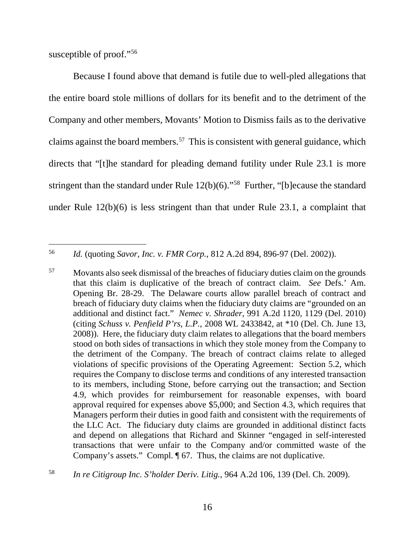susceptible of proof."<sup>56</sup>

Because I found above that demand is futile due to well-pled allegations that the entire board stole millions of dollars for its benefit and to the detriment of the Company and other members, Movants' Motion to Dismiss fails as to the derivative claims against the board members. 57 This is consistent with general guidance, which directs that "[t]he standard for pleading demand futility under Rule 23.1 is more stringent than the standard under Rule 12(b)(6)."58 Further, "[b]ecause the standard under Rule 12(b)(6) is less stringent than that under Rule 23.1, a complaint that

 $\overline{a}$ 56 *Id.* (quoting *Savor, Inc. v. FMR Corp.*, 812 A.2d 894, 896-97 (Del. 2002)).

<sup>&</sup>lt;sup>57</sup> Movants also seek dismissal of the breaches of fiduciary duties claim on the grounds that this claim is duplicative of the breach of contract claim. *See* Defs.' Am. Opening Br. 28-29. The Delaware courts allow parallel breach of contract and breach of fiduciary duty claims when the fiduciary duty claims are "grounded on an additional and distinct fact." *Nemec v. Shrader*, 991 A.2d 1120, 1129 (Del. 2010) (citing *Schuss v. Penfield P'rs, L.P.*, 2008 WL 2433842, at \*10 (Del. Ch. June 13, 2008)). Here, the fiduciary duty claim relates to allegations that the board members stood on both sides of transactions in which they stole money from the Company to the detriment of the Company. The breach of contract claims relate to alleged violations of specific provisions of the Operating Agreement: Section 5.2, which requires the Company to disclose terms and conditions of any interested transaction to its members, including Stone, before carrying out the transaction; and Section 4.9, which provides for reimbursement for reasonable expenses, with board approval required for expenses above \$5,000; and Section 4.3, which requires that Managers perform their duties in good faith and consistent with the requirements of the LLC Act. The fiduciary duty claims are grounded in additional distinct facts and depend on allegations that Richard and Skinner "engaged in self-interested transactions that were unfair to the Company and/or committed waste of the Company's assets." Compl. ¶ 67. Thus, the claims are not duplicative.

<sup>58</sup> *In re Citigroup Inc. S'holder Deriv. Litig.*, 964 A.2d 106, 139 (Del. Ch. 2009).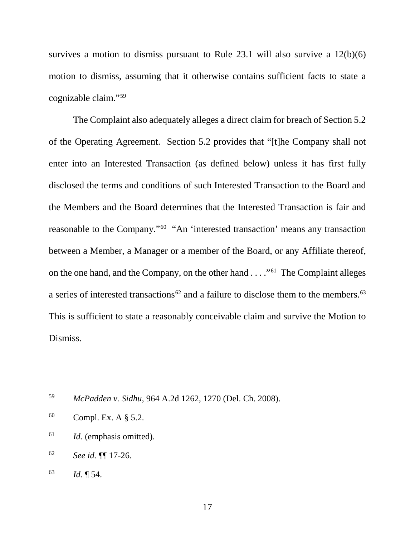survives a motion to dismiss pursuant to Rule 23.1 will also survive a 12(b)(6) motion to dismiss, assuming that it otherwise contains sufficient facts to state a cognizable claim."59

The Complaint also adequately alleges a direct claim for breach of Section 5.2 of the Operating Agreement. Section 5.2 provides that "[t]he Company shall not enter into an Interested Transaction (as defined below) unless it has first fully disclosed the terms and conditions of such Interested Transaction to the Board and the Members and the Board determines that the Interested Transaction is fair and reasonable to the Company."60 "An 'interested transaction' means any transaction between a Member, a Manager or a member of the Board, or any Affiliate thereof, on the one hand, and the Company, on the other hand . . . ."61 The Complaint alleges a series of interested transactions<sup>62</sup> and a failure to disclose them to the members.<sup>63</sup> This is sufficient to state a reasonably conceivable claim and survive the Motion to Dismiss.

- 61 *Id.* (emphasis omitted).
- 62 *See id.* ¶¶ 17-26.
- 63 *Id.* ¶ 54.

<sup>59</sup> *McPadden v. Sidhu*, 964 A.2d 1262, 1270 (Del. Ch. 2008).

 $60$  Compl. Ex. A  $\S$  5.2.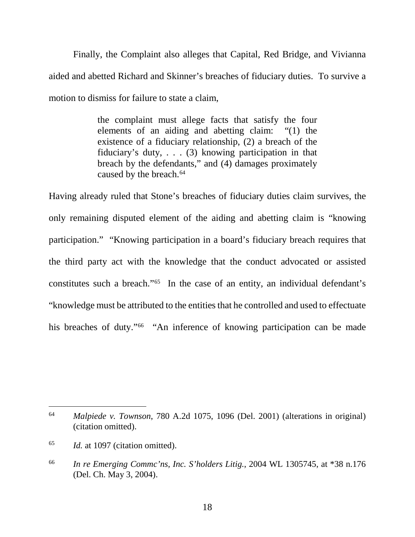Finally, the Complaint also alleges that Capital, Red Bridge, and Vivianna aided and abetted Richard and Skinner's breaches of fiduciary duties. To survive a motion to dismiss for failure to state a claim,

> the complaint must allege facts that satisfy the four elements of an aiding and abetting claim: "(1) the existence of a fiduciary relationship, (2) a breach of the fiduciary's duty, . . . (3) knowing participation in that breach by the defendants," and (4) damages proximately caused by the breach.<sup>64</sup>

Having already ruled that Stone's breaches of fiduciary duties claim survives, the only remaining disputed element of the aiding and abetting claim is "knowing participation." "Knowing participation in a board's fiduciary breach requires that the third party act with the knowledge that the conduct advocated or assisted constitutes such a breach."65 In the case of an entity, an individual defendant's "knowledge must be attributed to the entities that he controlled and used to effectuate his breaches of duty."<sup>66</sup> "An inference of knowing participation can be made

 $\overline{a}$ 64 *Malpiede v. Townson*, 780 A.2d 1075, 1096 (Del. 2001) (alterations in original) (citation omitted).

<sup>65</sup> *Id.* at 1097 (citation omitted).

<sup>66</sup> *In re Emerging Commc'ns, Inc. S'holders Litig.*, 2004 WL 1305745, at \*38 n.176 (Del. Ch. May 3, 2004).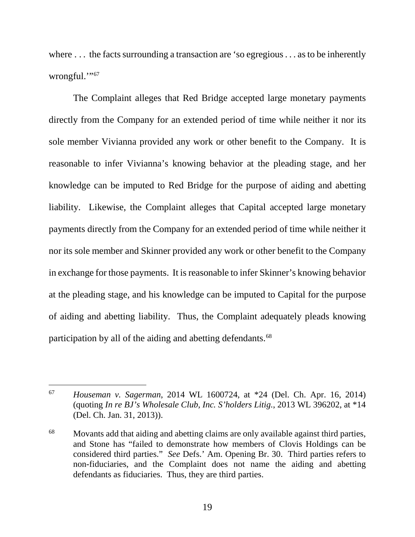where ... the facts surrounding a transaction are 'so egregious ... as to be inherently wrongful."67

The Complaint alleges that Red Bridge accepted large monetary payments directly from the Company for an extended period of time while neither it nor its sole member Vivianna provided any work or other benefit to the Company. It is reasonable to infer Vivianna's knowing behavior at the pleading stage, and her knowledge can be imputed to Red Bridge for the purpose of aiding and abetting liability. Likewise, the Complaint alleges that Capital accepted large monetary payments directly from the Company for an extended period of time while neither it nor its sole member and Skinner provided any work or other benefit to the Company in exchange for those payments. It is reasonable to infer Skinner's knowing behavior at the pleading stage, and his knowledge can be imputed to Capital for the purpose of aiding and abetting liability. Thus, the Complaint adequately pleads knowing participation by all of the aiding and abetting defendants.<sup>68</sup>

<sup>67</sup> *Houseman v. Sagerman*, 2014 WL 1600724, at \*24 (Del. Ch. Apr. 16, 2014) (quoting *In re BJ's Wholesale Club, Inc. S'holders Litig.*, 2013 WL 396202, at \*14 (Del. Ch. Jan. 31, 2013)).

<sup>&</sup>lt;sup>68</sup> Movants add that aiding and abetting claims are only available against third parties, and Stone has "failed to demonstrate how members of Clovis Holdings can be considered third parties." *See* Defs.' Am. Opening Br. 30. Third parties refers to non-fiduciaries, and the Complaint does not name the aiding and abetting defendants as fiduciaries. Thus, they are third parties.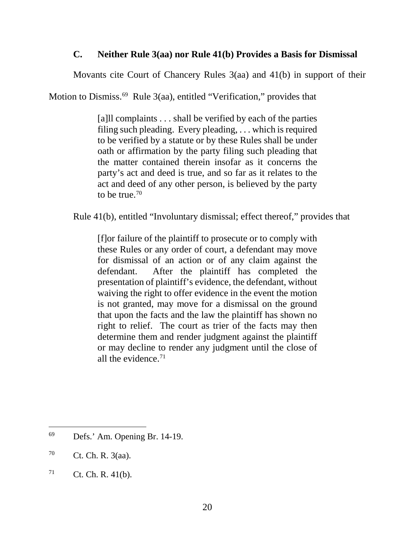## **C. Neither Rule 3(aa) nor Rule 41(b) Provides a Basis for Dismissal**

Movants cite Court of Chancery Rules 3(aa) and 41(b) in support of their

Motion to Dismiss. 69 Rule 3(aa), entitled "Verification," provides that

[a]ll complaints . . . shall be verified by each of the parties filing such pleading. Every pleading, . . . which is required to be verified by a statute or by these Rules shall be under oath or affirmation by the party filing such pleading that the matter contained therein insofar as it concerns the party's act and deed is true, and so far as it relates to the act and deed of any other person, is believed by the party to be true.  $70$ 

Rule 41(b), entitled "Involuntary dismissal; effect thereof," provides that

[f]or failure of the plaintiff to prosecute or to comply with these Rules or any order of court, a defendant may move for dismissal of an action or of any claim against the defendant. After the plaintiff has completed the presentation of plaintiff's evidence, the defendant, without waiving the right to offer evidence in the event the motion is not granted, may move for a dismissal on the ground that upon the facts and the law the plaintiff has shown no right to relief. The court as trier of the facts may then determine them and render judgment against the plaintiff or may decline to render any judgment until the close of all the evidence.<sup>71</sup>

<sup>69</sup> Defs.' Am. Opening Br. 14-19.

 $70$  Ct. Ch. R. 3(aa).

 $71$  Ct. Ch. R. 41(b).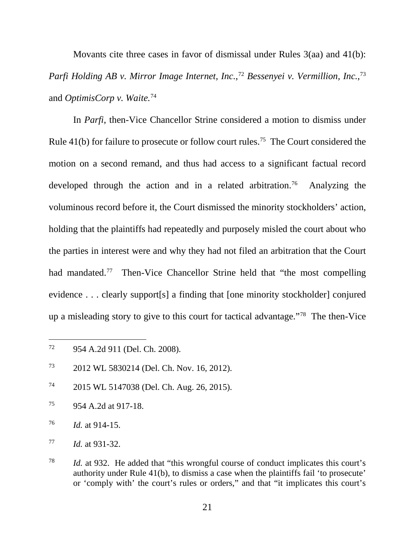Movants cite three cases in favor of dismissal under Rules 3(aa) and 41(b): *Parfi Holding AB v. Mirror Image Internet, Inc.*, <sup>72</sup> *Bessenyei v. Vermillion, Inc.*, 73 and *OptimisCorp v. Waite.*<sup>74</sup>

In *Parfi*, then-Vice Chancellor Strine considered a motion to dismiss under Rule 41(b) for failure to prosecute or follow court rules.<sup>75</sup> The Court considered the motion on a second remand, and thus had access to a significant factual record developed through the action and in a related arbitration.<sup>76</sup> Analyzing the voluminous record before it, the Court dismissed the minority stockholders' action, holding that the plaintiffs had repeatedly and purposely misled the court about who the parties in interest were and why they had not filed an arbitration that the Court had mandated.<sup>77</sup> Then-Vice Chancellor Strine held that "the most compelling evidence . . . clearly support[s] a finding that [one minority stockholder] conjured up a misleading story to give to this court for tactical advantage."78 The then-Vice

<sup>72</sup> 954 A.2d 911 (Del. Ch. 2008).

<sup>73 2012</sup> WL 5830214 (Del. Ch. Nov. 16, 2012).

<sup>74 2015</sup> WL 5147038 (Del. Ch. Aug. 26, 2015).

<sup>75 954</sup> A.2d at 917-18.

<sup>76</sup> *Id.* at 914-15.

<sup>77</sup> *Id.* at 931-32.

<sup>78</sup> *Id.* at 932. He added that "this wrongful course of conduct implicates this court's authority under Rule 41(b), to dismiss a case when the plaintiffs fail 'to prosecute' or 'comply with' the court's rules or orders," and that "it implicates this court's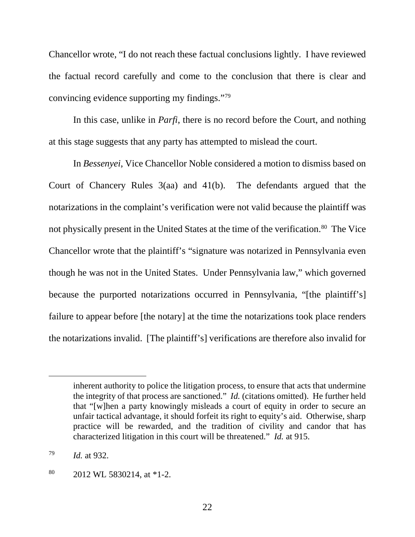Chancellor wrote, "I do not reach these factual conclusions lightly. I have reviewed the factual record carefully and come to the conclusion that there is clear and convincing evidence supporting my findings."79

In this case, unlike in *Parfi*, there is no record before the Court, and nothing at this stage suggests that any party has attempted to mislead the court.

In *Bessenyei*, Vice Chancellor Noble considered a motion to dismiss based on Court of Chancery Rules 3(aa) and 41(b). The defendants argued that the notarizations in the complaint's verification were not valid because the plaintiff was not physically present in the United States at the time of the verification. 80 The Vice Chancellor wrote that the plaintiff's "signature was notarized in Pennsylvania even though he was not in the United States. Under Pennsylvania law," which governed because the purported notarizations occurred in Pennsylvania, "[the plaintiff's] failure to appear before [the notary] at the time the notarizations took place renders the notarizations invalid. [The plaintiff's] verifications are therefore also invalid for

inherent authority to police the litigation process, to ensure that acts that undermine the integrity of that process are sanctioned." *Id.* (citations omitted). He further held that "[w]hen a party knowingly misleads a court of equity in order to secure an unfair tactical advantage, it should forfeit its right to equity's aid. Otherwise, sharp practice will be rewarded, and the tradition of civility and candor that has characterized litigation in this court will be threatened." *Id.* at 915.

<sup>79</sup> *Id.* at 932.

<sup>80 2012</sup> WL 5830214, at \*1-2.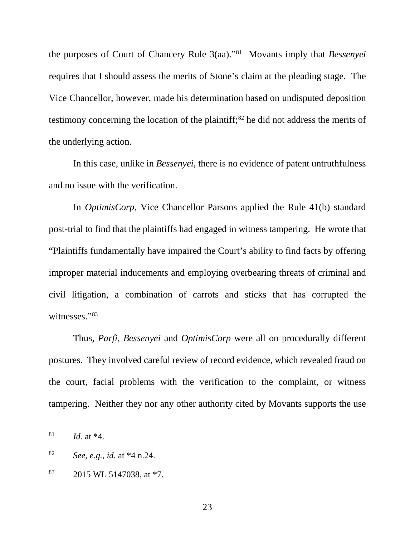the purposes of Court of Chancery Rule 3(aa)."81 Movants imply that *Bessenyei* requires that I should assess the merits of Stone's claim at the pleading stage. The Vice Chancellor, however, made his determination based on undisputed deposition testimony concerning the location of the plaintiff; 82 he did not address the merits of the underlying action.

In this case, unlike in *Bessenyei*, there is no evidence of patent untruthfulness and no issue with the verification.

 In *OptimisCorp*, Vice Chancellor Parsons applied the Rule 41(b) standard post-trial to find that the plaintiffs had engaged in witness tampering. He wrote that "Plaintiffs fundamentally have impaired the Court's ability to find facts by offering improper material inducements and employing overbearing threats of criminal and civil litigation, a combination of carrots and sticks that has corrupted the witnesses."83

Thus, *Parfi*, *Bessenyei* and *OptimisCorp* were all on procedurally different postures. They involved careful review of record evidence, which revealed fraud on the court, facial problems with the verification to the complaint, or witness tampering. Neither they nor any other authority cited by Movants supports the use

 $\overline{a}$ 

23

<sup>81</sup> *Id.* at \*4.

<sup>82</sup> *See, e.g.*, *id.* at \*4 n.24.

<sup>&</sup>lt;sup>83</sup> 2015 WL 5147038, at  $*7$ .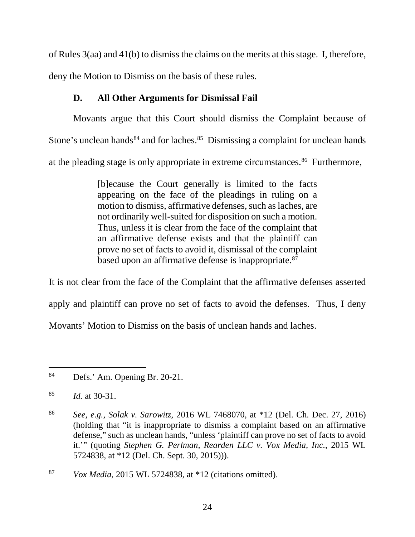of Rules 3(aa) and 41(b) to dismiss the claims on the merits at this stage. I, therefore, deny the Motion to Dismiss on the basis of these rules.

## **D. All Other Arguments for Dismissal Fail**

Movants argue that this Court should dismiss the Complaint because of Stone's unclean hands<sup>84</sup> and for laches.<sup>85</sup> Dismissing a complaint for unclean hands at the pleading stage is only appropriate in extreme circumstances.<sup>86</sup> Furthermore,

> [b]ecause the Court generally is limited to the facts appearing on the face of the pleadings in ruling on a motion to dismiss, affirmative defenses, such as laches, are not ordinarily well-suited for disposition on such a motion. Thus, unless it is clear from the face of the complaint that an affirmative defense exists and that the plaintiff can prove no set of facts to avoid it, dismissal of the complaint based upon an affirmative defense is inappropriate.<sup>87</sup>

It is not clear from the face of the Complaint that the affirmative defenses asserted apply and plaintiff can prove no set of facts to avoid the defenses. Thus, I deny Movants' Motion to Dismiss on the basis of unclean hands and laches.

 $\overline{a}$ 84 Defs.' Am. Opening Br. 20-21.

<sup>85</sup> *Id.* at 30-31.

<sup>86</sup> *See, e.g.*, *Solak v. Sarowitz*, 2016 WL 7468070, at \*12 (Del. Ch. Dec. 27, 2016) (holding that "it is inappropriate to dismiss a complaint based on an affirmative defense," such as unclean hands, "unless 'plaintiff can prove no set of facts to avoid it.'" (quoting *Stephen G. Perlman, Rearden LLC v. Vox Media, Inc.*, 2015 WL 5724838, at \*12 (Del. Ch. Sept. 30, 2015))).

<sup>87</sup> *Vox Media*, 2015 WL 5724838, at \*12 (citations omitted).